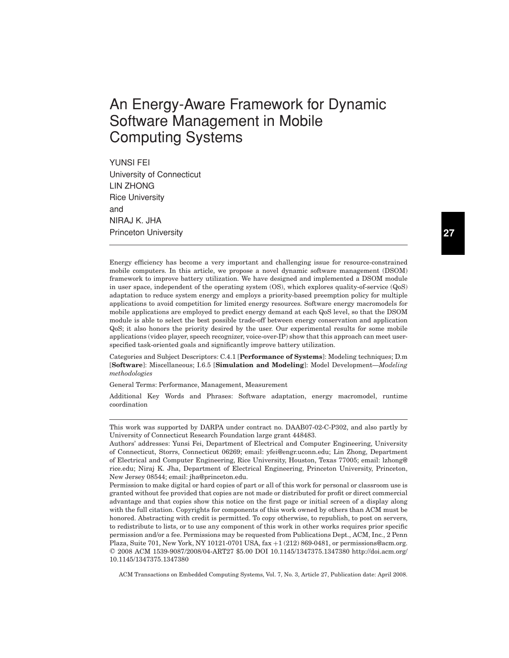# An Energy-Aware Framework for Dynamic Software Management in Mobile Computing Systems

YUNSI FEI University of Connecticut LIN ZHONG Rice University and NIRAJ K. JHA Princeton University

Energy efficiency has become a very important and challenging issue for resource-constrained mobile computers. In this article, we propose a novel dynamic software management (DSOM) framework to improve battery utilization. We have designed and implemented a DSOM module in user space, independent of the operating system (OS), which explores quality-of-service (QoS) adaptation to reduce system energy and employs a priority-based preemption policy for multiple applications to avoid competition for limited energy resources. Software energy macromodels for mobile applications are employed to predict energy demand at each QoS level, so that the DSOM module is able to select the best possible trade-off between energy conservation and application QoS; it also honors the priority desired by the user. Our experimental results for some mobile applications (video player, speech recognizer, voice-over-IP) show that this approach can meet userspecified task-oriented goals and significantly improve battery utilization.

Categories and Subject Descriptors: C.4.1 [**Performance of Systems**]: Modeling techniques; D.m [**Software**]: Miscellaneous; I.6.5 [**Simulation and Modeling**]: Model Development—*Modeling methodologies*

General Terms: Performance, Management, Measurement

Additional Key Words and Phrases: Software adaptation, energy macromodel, runtime coordination

This work was supported by DARPA under contract no. DAAB07-02-C-P302, and also partly by University of Connecticut Research Foundation large grant 448483.

Authors' addresses: Yunsi Fei, Department of Electrical and Computer Engineering, University of Connecticut, Storrs, Connecticut 06269; email: yfei@engr.uconn.edu; Lin Zhong, Department of Electrical and Computer Engineering, Rice University, Houston, Texas 77005; email: lzhong@ rice.edu; Niraj K. Jha, Department of Electrical Engineering, Princeton University, Princeton, New Jersey 08544; email: jha@princeton.edu.

Permission to make digital or hard copies of part or all of this work for personal or classroom use is granted without fee provided that copies are not made or distributed for profit or direct commercial advantage and that copies show this notice on the first page or initial screen of a display along with the full citation. Copyrights for components of this work owned by others than ACM must be honored. Abstracting with credit is permitted. To copy otherwise, to republish, to post on servers, to redistribute to lists, or to use any component of this work in other works requires prior specific permission and/or a fee. Permissions may be requested from Publications Dept., ACM, Inc., 2 Penn Plaza, Suite 701, New York, NY 10121-0701 USA, fax +1 (212) 869-0481, or permissions@acm.org. © 2008 ACM 1539-9087/2008/04-ART27 \$5.00 DOI 10.1145/1347375.1347380 http://doi.acm.org/ 10.1145/1347375.1347380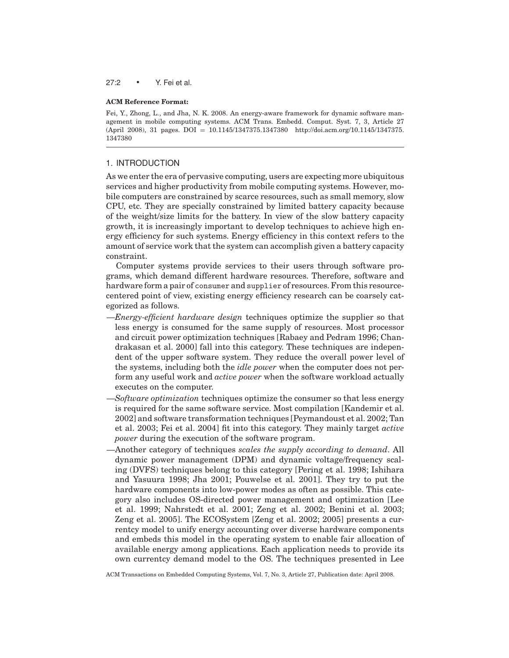## 27:2 • Y. Fei et al.

#### **ACM Reference Format:**

Fei, Y., Zhong, L., and Jha, N. K. 2008. An energy-aware framework for dynamic software management in mobile computing systems. ACM Trans. Embedd. Comput. Syst. 7, 3, Article 27 (April 2008), 31 pages. DOI = 10.1145/1347375.1347380 http://doi.acm.org/10.1145/1347375. 1347380

# 1. INTRODUCTION

As we enter the era of pervasive computing, users are expecting more ubiquitous services and higher productivity from mobile computing systems. However, mobile computers are constrained by scarce resources, such as small memory, slow CPU, etc. They are specially constrained by limited battery capacity because of the weight/size limits for the battery. In view of the slow battery capacity growth, it is increasingly important to develop techniques to achieve high energy efficiency for such systems. Energy efficiency in this context refers to the amount of service work that the system can accomplish given a battery capacity constraint.

Computer systems provide services to their users through software programs, which demand different hardware resources. Therefore, software and hardware form a pair of consumer and supplier of resources. From this resourcecentered point of view, existing energy efficiency research can be coarsely categorized as follows.

- —*Energy-efficient hardware design* techniques optimize the supplier so that less energy is consumed for the same supply of resources. Most processor and circuit power optimization techniques [Rabaey and Pedram 1996; Chandrakasan et al. 2000] fall into this category. These techniques are independent of the upper software system. They reduce the overall power level of the systems, including both the *idle power* when the computer does not perform any useful work and *active power* when the software workload actually executes on the computer.
- —*Software optimization* techniques optimize the consumer so that less energy is required for the same software service. Most compilation [Kandemir et al. 2002] and software transformation techniques [Peymandoust et al. 2002; Tan et al. 2003; Fei et al. 2004] fit into this category. They mainly target *active power* during the execution of the software program.
- —Another category of techniques *scales the supply according to demand*. All dynamic power management (DPM) and dynamic voltage/frequency scaling (DVFS) techniques belong to this category [Pering et al. 1998; Ishihara and Yasuura 1998; Jha 2001; Pouwelse et al. 2001]. They try to put the hardware components into low-power modes as often as possible. This category also includes OS-directed power management and optimization [Lee et al. 1999; Nahrstedt et al. 2001; Zeng et al. 2002; Benini et al. 2003; Zeng et al. 2005]. The ECOSystem [Zeng et al. 2002; 2005] presents a currentcy model to unify energy accounting over diverse hardware components and embeds this model in the operating system to enable fair allocation of available energy among applications. Each application needs to provide its own currentcy demand model to the OS. The techniques presented in Lee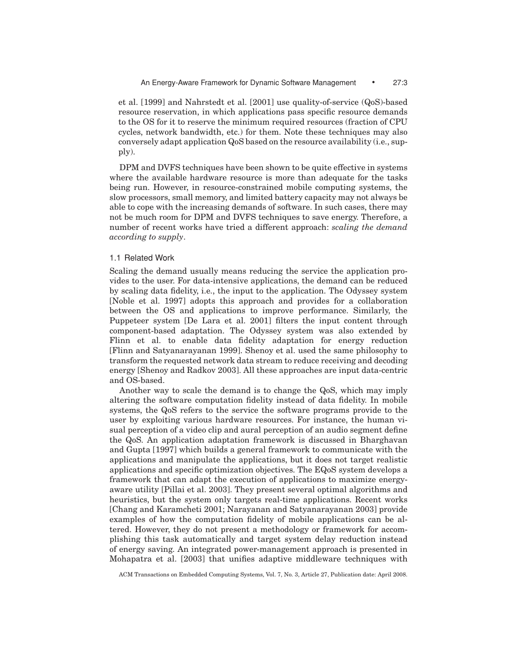et al. [1999] and Nahrstedt et al. [2001] use quality-of-service (QoS)-based resource reservation, in which applications pass specific resource demands to the OS for it to reserve the minimum required resources (fraction of CPU cycles, network bandwidth, etc.) for them. Note these techniques may also conversely adapt application QoS based on the resource availability (i.e., supply).

DPM and DVFS techniques have been shown to be quite effective in systems where the available hardware resource is more than adequate for the tasks being run. However, in resource-constrained mobile computing systems, the slow processors, small memory, and limited battery capacity may not always be able to cope with the increasing demands of software. In such cases, there may not be much room for DPM and DVFS techniques to save energy. Therefore, a number of recent works have tried a different approach: *scaling the demand according to supply*.

## 1.1 Related Work

Scaling the demand usually means reducing the service the application provides to the user. For data-intensive applications, the demand can be reduced by scaling data fidelity, i.e., the input to the application. The Odyssey system [Noble et al. 1997] adopts this approach and provides for a collaboration between the OS and applications to improve performance. Similarly, the Puppeteer system [De Lara et al. 2001] filters the input content through component-based adaptation. The Odyssey system was also extended by Flinn et al. to enable data fidelity adaptation for energy reduction [Flinn and Satyanarayanan 1999]. Shenoy et al. used the same philosophy to transform the requested network data stream to reduce receiving and decoding energy [Shenoy and Radkov 2003]. All these approaches are input data-centric and OS-based.

Another way to scale the demand is to change the QoS, which may imply altering the software computation fidelity instead of data fidelity. In mobile systems, the QoS refers to the service the software programs provide to the user by exploiting various hardware resources. For instance, the human visual perception of a video clip and aural perception of an audio segment define the QoS. An application adaptation framework is discussed in Bharghavan and Gupta [1997] which builds a general framework to communicate with the applications and manipulate the applications, but it does not target realistic applications and specific optimization objectives. The EQoS system develops a framework that can adapt the execution of applications to maximize energyaware utility [Pillai et al. 2003]. They present several optimal algorithms and heuristics, but the system only targets real-time applications. Recent works [Chang and Karamcheti 2001; Narayanan and Satyanarayanan 2003] provide examples of how the computation fidelity of mobile applications can be altered. However, they do not present a methodology or framework for accomplishing this task automatically and target system delay reduction instead of energy saving. An integrated power-management approach is presented in Mohapatra et al. [2003] that unifies adaptive middleware techniques with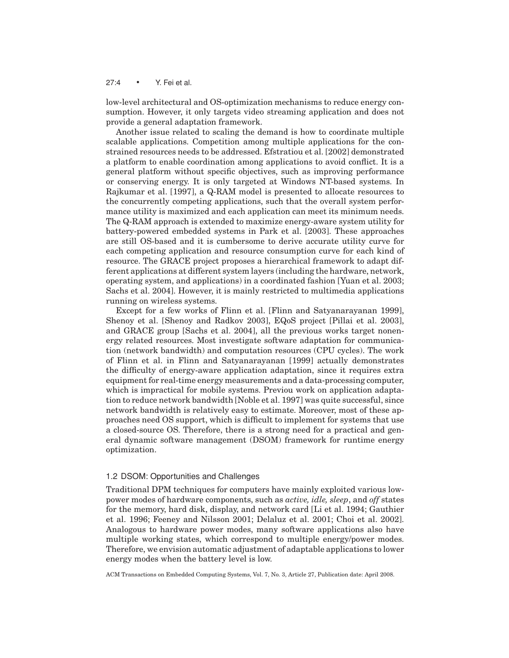27:4 • Y. Fei et al.

low-level architectural and OS-optimization mechanisms to reduce energy consumption. However, it only targets video streaming application and does not provide a general adaptation framework.

Another issue related to scaling the demand is how to coordinate multiple scalable applications. Competition among multiple applications for the constrained resources needs to be addressed. Efstratiou et al. [2002] demonstrated a platform to enable coordination among applications to avoid conflict. It is a general platform without specific objectives, such as improving performance or conserving energy. It is only targeted at Windows NT-based systems. In Rajkumar et al. [1997], a Q-RAM model is presented to allocate resources to the concurrently competing applications, such that the overall system performance utility is maximized and each application can meet its minimum needs. The Q-RAM approach is extended to maximize energy-aware system utility for battery-powered embedded systems in Park et al. [2003]. These approaches are still OS-based and it is cumbersome to derive accurate utility curve for each competing application and resource consumption curve for each kind of resource. The GRACE project proposes a hierarchical framework to adapt different applications at different system layers (including the hardware, network, operating system, and applications) in a coordinated fashion [Yuan et al. 2003; Sachs et al. 2004]. However, it is mainly restricted to multimedia applications running on wireless systems.

Except for a few works of Flinn et al. [Flinn and Satyanarayanan 1999], Shenoy et al. [Shenoy and Radkov 2003], EQoS project [Pillai et al. 2003], and GRACE group [Sachs et al. 2004], all the previous works target nonenergy related resources. Most investigate software adaptation for communication (network bandwidth) and computation resources (CPU cycles). The work of Flinn et al. in Flinn and Satyanarayanan [1999] actually demonstrates the difficulty of energy-aware application adaptation, since it requires extra equipment for real-time energy measurements and a data-processing computer, which is impractical for mobile systems. Previou work on application adaptation to reduce network bandwidth [Noble et al. 1997] was quite successful, since network bandwidth is relatively easy to estimate. Moreover, most of these approaches need OS support, which is difficult to implement for systems that use a closed-source OS. Therefore, there is a strong need for a practical and general dynamic software management (DSOM) framework for runtime energy optimization.

## 1.2 DSOM: Opportunities and Challenges

Traditional DPM techniques for computers have mainly exploited various lowpower modes of hardware components, such as *active, idle, sleep*, and *off* states for the memory, hard disk, display, and network card [Li et al. 1994; Gauthier et al. 1996; Feeney and Nilsson 2001; Delaluz et al. 2001; Choi et al. 2002]. Analogous to hardware power modes, many software applications also have multiple working states, which correspond to multiple energy/power modes. Therefore, we envision automatic adjustment of adaptable applications to lower energy modes when the battery level is low.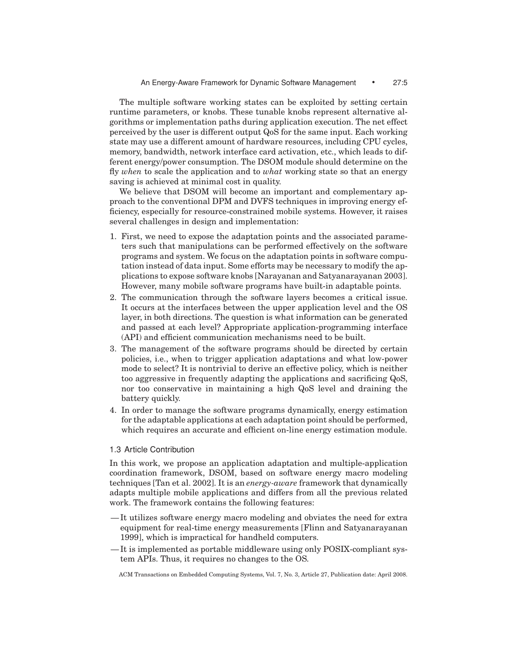The multiple software working states can be exploited by setting certain runtime parameters, or knobs. These tunable knobs represent alternative algorithms or implementation paths during application execution. The net effect perceived by the user is different output QoS for the same input. Each working state may use a different amount of hardware resources, including CPU cycles, memory, bandwidth, network interface card activation, etc., which leads to different energy/power consumption. The DSOM module should determine on the fly *when* to scale the application and to *what* working state so that an energy saving is achieved at minimal cost in quality.

We believe that DSOM will become an important and complementary approach to the conventional DPM and DVFS techniques in improving energy efficiency, especially for resource-constrained mobile systems. However, it raises several challenges in design and implementation:

- 1. First, we need to expose the adaptation points and the associated parameters such that manipulations can be performed effectively on the software programs and system. We focus on the adaptation points in software computation instead of data input. Some efforts may be necessary to modify the applications to expose software knobs [Narayanan and Satyanarayanan 2003]. However, many mobile software programs have built-in adaptable points.
- 2. The communication through the software layers becomes a critical issue. It occurs at the interfaces between the upper application level and the OS layer, in both directions. The question is what information can be generated and passed at each level? Appropriate application-programming interface (API) and efficient communication mechanisms need to be built.
- 3. The management of the software programs should be directed by certain policies, i.e., when to trigger application adaptations and what low-power mode to select? It is nontrivial to derive an effective policy, which is neither too aggressive in frequently adapting the applications and sacrificing QoS, nor too conservative in maintaining a high QoS level and draining the battery quickly.
- 4. In order to manage the software programs dynamically, energy estimation for the adaptable applications at each adaptation point should be performed, which requires an accurate and efficient on-line energy estimation module.

#### 1.3 Article Contribution

In this work, we propose an application adaptation and multiple-application coordination framework, DSOM, based on software energy macro modeling techniques [Tan et al. 2002]. It is an *energy-aware* framework that dynamically adapts multiple mobile applications and differs from all the previous related work. The framework contains the following features:

- It utilizes software energy macro modeling and obviates the need for extra equipment for real-time energy measurements [Flinn and Satyanarayanan 1999], which is impractical for handheld computers.
- It is implemented as portable middleware using only POSIX-compliant system APIs. Thus, it requires no changes to the OS.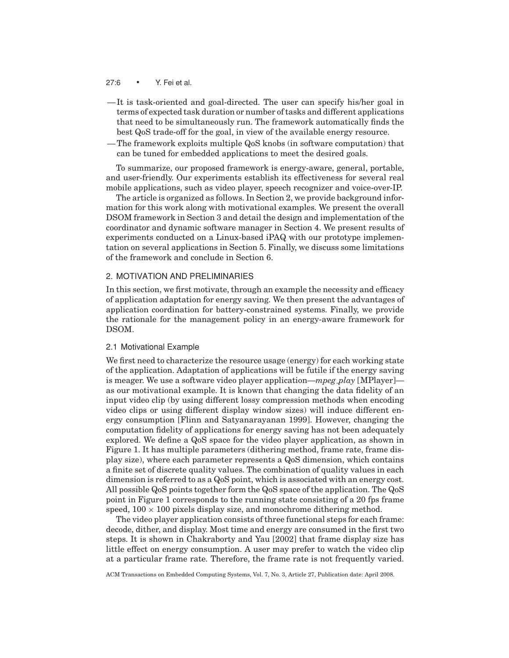# 27:6 • Y. Fei et al.

- It is task-oriented and goal-directed. The user can specify his/her goal in terms of expected task duration or number of tasks and different applications that need to be simultaneously run. The framework automatically finds the best QoS trade-off for the goal, in view of the available energy resource.
- The framework exploits multiple QoS knobs (in software computation) that can be tuned for embedded applications to meet the desired goals.

To summarize, our proposed framework is energy-aware, general, portable, and user-friendly. Our experiments establish its effectiveness for several real mobile applications, such as video player, speech recognizer and voice-over-IP.

The article is organized as follows. In Section 2, we provide background information for this work along with motivational examples. We present the overall DSOM framework in Section 3 and detail the design and implementation of the coordinator and dynamic software manager in Section 4. We present results of experiments conducted on a Linux-based iPAQ with our prototype implementation on several applications in Section 5. Finally, we discuss some limitations of the framework and conclude in Section 6.

# 2. MOTIVATION AND PRELIMINARIES

In this section, we first motivate, through an example the necessity and efficacy of application adaptation for energy saving. We then present the advantages of application coordination for battery-constrained systems. Finally, we provide the rationale for the management policy in an energy-aware framework for DSOM.

# 2.1 Motivational Example

We first need to characterize the resource usage (energy) for each working state of the application. Adaptation of applications will be futile if the energy saving is meager. We use a software video player application—*mpeg play* [MPlayer] as our motivational example. It is known that changing the data fidelity of an input video clip (by using different lossy compression methods when encoding video clips or using different display window sizes) will induce different energy consumption [Flinn and Satyanarayanan 1999]. However, changing the computation fidelity of applications for energy saving has not been adequately explored. We define a QoS space for the video player application, as shown in Figure 1. It has multiple parameters (dithering method, frame rate, frame display size), where each parameter represents a QoS dimension, which contains a finite set of discrete quality values. The combination of quality values in each dimension is referred to as a QoS point, which is associated with an energy cost. All possible QoS points together form the QoS space of the application. The QoS point in Figure 1 corresponds to the running state consisting of a 20 fps frame speed,  $100 \times 100$  pixels display size, and monochrome dithering method.

The video player application consists of three functional steps for each frame: decode, dither, and display. Most time and energy are consumed in the first two steps. It is shown in Chakraborty and Yau [2002] that frame display size has little effect on energy consumption. A user may prefer to watch the video clip at a particular frame rate. Therefore, the frame rate is not frequently varied.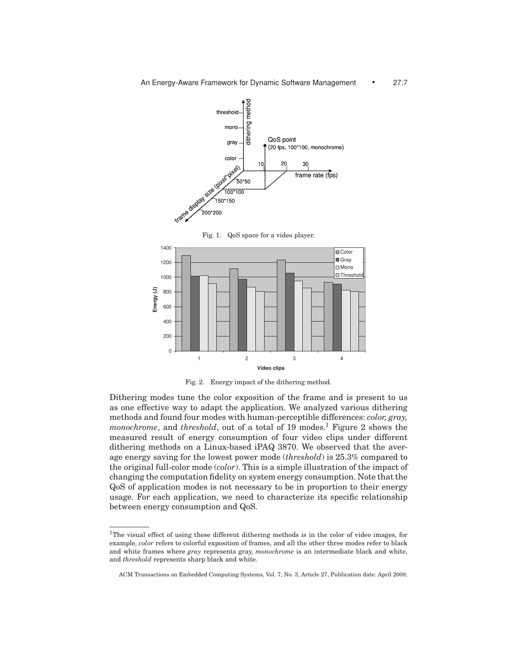

Fig. 1. QoS space for a video player.





Dithering modes tune the color exposition of the frame and is present to us as one effective way to adapt the application. We analyzed various dithering methods and found four modes with human-perceptible differences: *color, gray, monochrome*, and *threshold*, out of a total of 19 modes.<sup>1</sup> Figure 2 shows the measured result of energy consumption of four video clips under different dithering methods on a Linux-based iPAQ 3870. We observed that the average energy saving for the lowest power mode (*threshold*) is 25.3% compared to the original full-color mode (*color*). This is a simple illustration of the impact of changing the computation fidelity on system energy consumption. Note that the QoS of application modes is not necessary to be in proportion to their energy usage. For each application, we need to characterize its specific relationship between energy consumption and QoS.

<sup>&</sup>lt;sup>1</sup>The visual effect of using these different dithering methods is in the color of video images, for example, *color* refers to colorful exposition of frames, and all the other three modes refer to black and white frames where *gray* represents gray, *monochrome* is an intermediate black and white, and *threshold* represents sharp black and white.

ACM Transactions on Embedded Computing Systems, Vol. 7, No. 3, Article 27, Publication date: April 2008.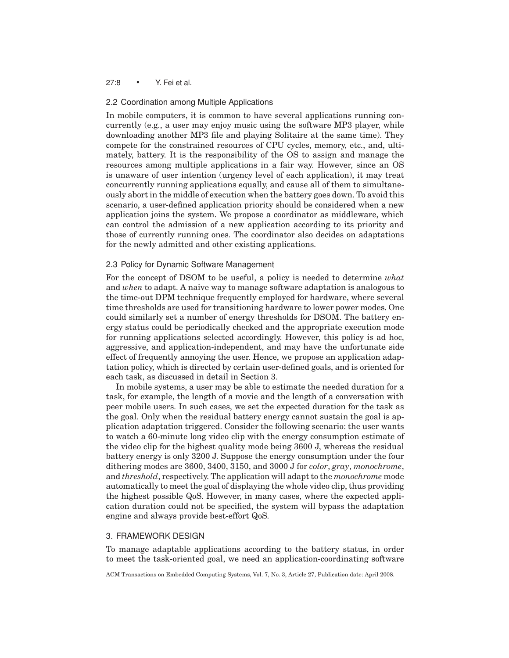# 27:8 • Y. Fei et al.

#### 2.2 Coordination among Multiple Applications

In mobile computers, it is common to have several applications running concurrently (e.g., a user may enjoy music using the software MP3 player, while downloading another MP3 file and playing Solitaire at the same time). They compete for the constrained resources of CPU cycles, memory, etc., and, ultimately, battery. It is the responsibility of the OS to assign and manage the resources among multiple applications in a fair way. However, since an OS is unaware of user intention (urgency level of each application), it may treat concurrently running applications equally, and cause all of them to simultaneously abort in the middle of execution when the battery goes down. To avoid this scenario, a user-defined application priority should be considered when a new application joins the system. We propose a coordinator as middleware, which can control the admission of a new application according to its priority and those of currently running ones. The coordinator also decides on adaptations for the newly admitted and other existing applications.

## 2.3 Policy for Dynamic Software Management

For the concept of DSOM to be useful, a policy is needed to determine *what* and *when* to adapt. A naive way to manage software adaptation is analogous to the time-out DPM technique frequently employed for hardware, where several time thresholds are used for transitioning hardware to lower power modes. One could similarly set a number of energy thresholds for DSOM. The battery energy status could be periodically checked and the appropriate execution mode for running applications selected accordingly. However, this policy is ad hoc, aggressive, and application-independent, and may have the unfortunate side effect of frequently annoying the user. Hence, we propose an application adaptation policy, which is directed by certain user-defined goals, and is oriented for each task, as discussed in detail in Section 3.

In mobile systems, a user may be able to estimate the needed duration for a task, for example, the length of a movie and the length of a conversation with peer mobile users. In such cases, we set the expected duration for the task as the goal. Only when the residual battery energy cannot sustain the goal is application adaptation triggered. Consider the following scenario: the user wants to watch a 60-minute long video clip with the energy consumption estimate of the video clip for the highest quality mode being 3600 J, whereas the residual battery energy is only 3200 J. Suppose the energy consumption under the four dithering modes are 3600, 3400, 3150, and 3000 J for *color*, *gray*, *monochrome*, and *threshold*, respectively. The application will adapt to the *monochrome* mode automatically to meet the goal of displaying the whole video clip, thus providing the highest possible QoS. However, in many cases, where the expected application duration could not be specified, the system will bypass the adaptation engine and always provide best-effort QoS.

## 3. FRAMEWORK DESIGN

To manage adaptable applications according to the battery status, in order to meet the task-oriented goal, we need an application-coordinating software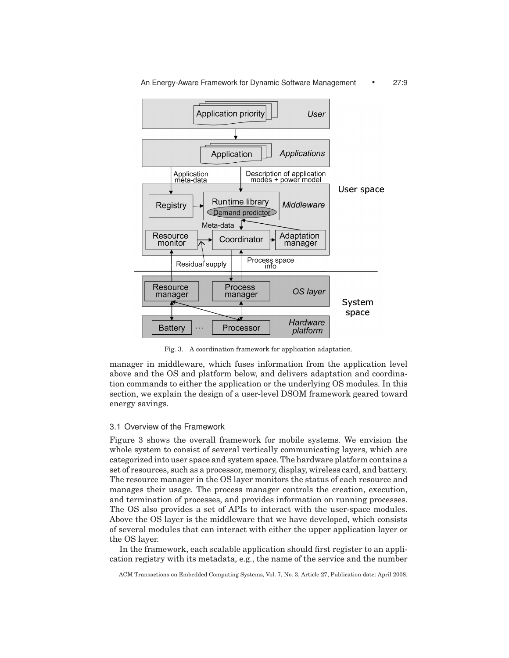

Fig. 3. A coordination framework for application adaptation.

manager in middleware, which fuses information from the application level above and the OS and platform below, and delivers adaptation and coordination commands to either the application or the underlying OS modules. In this section, we explain the design of a user-level DSOM framework geared toward energy savings.

# 3.1 Overview of the Framework

Figure 3 shows the overall framework for mobile systems. We envision the whole system to consist of several vertically communicating layers, which are categorized into user space and system space. The hardware platform contains a set of resources, such as a processor, memory, display, wireless card, and battery. The resource manager in the OS layer monitors the status of each resource and manages their usage. The process manager controls the creation, execution, and termination of processes, and provides information on running processes. The OS also provides a set of APIs to interact with the user-space modules. Above the OS layer is the middleware that we have developed, which consists of several modules that can interact with either the upper application layer or the OS layer.

In the framework, each scalable application should first register to an application registry with its metadata, e.g., the name of the service and the number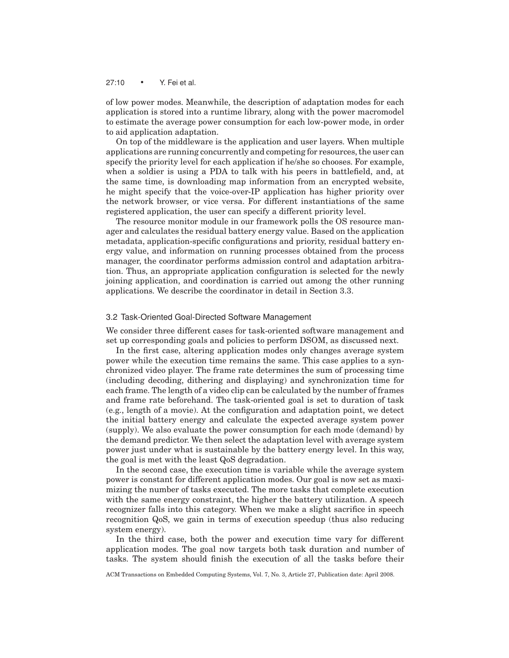#### 27:10 • Y. Fei et al.

of low power modes. Meanwhile, the description of adaptation modes for each application is stored into a runtime library, along with the power macromodel to estimate the average power consumption for each low-power mode, in order to aid application adaptation.

On top of the middleware is the application and user layers. When multiple applications are running concurrently and competing for resources, the user can specify the priority level for each application if he/she so chooses. For example, when a soldier is using a PDA to talk with his peers in battlefield, and, at the same time, is downloading map information from an encrypted website, he might specify that the voice-over-IP application has higher priority over the network browser, or vice versa. For different instantiations of the same registered application, the user can specify a different priority level.

The resource monitor module in our framework polls the OS resource manager and calculates the residual battery energy value. Based on the application metadata, application-specific configurations and priority, residual battery energy value, and information on running processes obtained from the process manager, the coordinator performs admission control and adaptation arbitration. Thus, an appropriate application configuration is selected for the newly joining application, and coordination is carried out among the other running applications. We describe the coordinator in detail in Section 3.3.

## 3.2 Task-Oriented Goal-Directed Software Management

We consider three different cases for task-oriented software management and set up corresponding goals and policies to perform DSOM, as discussed next.

In the first case, altering application modes only changes average system power while the execution time remains the same. This case applies to a synchronized video player. The frame rate determines the sum of processing time (including decoding, dithering and displaying) and synchronization time for each frame. The length of a video clip can be calculated by the number of frames and frame rate beforehand. The task-oriented goal is set to duration of task (e.g., length of a movie). At the configuration and adaptation point, we detect the initial battery energy and calculate the expected average system power (supply). We also evaluate the power consumption for each mode (demand) by the demand predictor. We then select the adaptation level with average system power just under what is sustainable by the battery energy level. In this way, the goal is met with the least QoS degradation.

In the second case, the execution time is variable while the average system power is constant for different application modes. Our goal is now set as maximizing the number of tasks executed. The more tasks that complete execution with the same energy constraint, the higher the battery utilization. A speech recognizer falls into this category. When we make a slight sacrifice in speech recognition QoS, we gain in terms of execution speedup (thus also reducing system energy).

In the third case, both the power and execution time vary for different application modes. The goal now targets both task duration and number of tasks. The system should finish the execution of all the tasks before their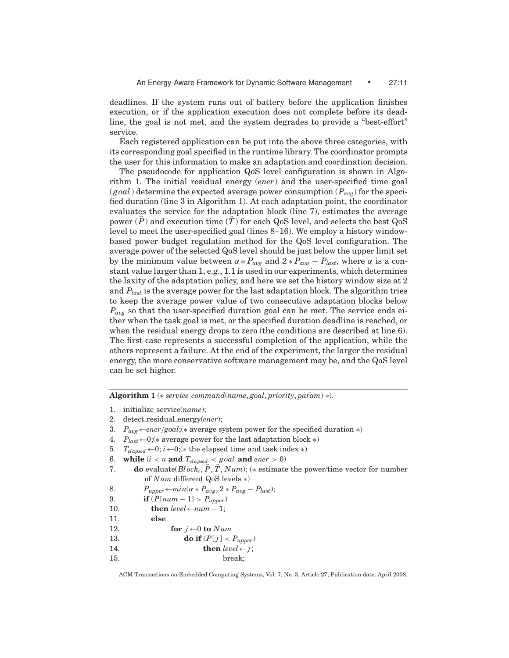deadlines. If the system runs out of battery before the application finishes execution, or if the application execution does not complete before its deadline, the goal is not met, and the system degrades to provide a "best-effort" service.

Each registered application can be put into the above three categories, with its corresponding goal specified in the runtime library. The coordinator prompts the user for this information to make an adaptation and coordination decision.

The pseudocode for application QoS level configuration is shown in Algorithm 1. The initial residual energy (*ener*) and the user-specified time goal  $(goal)$  determine the expected average power consumption  $(P_{avg})$  for the specified duration (line 3 in Algorithm 1). At each adaptation point, the coordinator evaluates the service for the adaptation block (line 7), estimates the average power (*P* ) and execution time (*T* ) for each QoS level, and selects the best QoS level to meet the user-specified goal (lines 8–16). We employ a history windowbased power budget regulation method for the QoS level configuration. The average power of the selected QoS level should be just below the upper limit set by the minimum value between  $\alpha * P_{avg}$  and  $2 * P_{avg} - P_{last}$ , where  $\alpha$  is a constant value larger than 1, e.g., 1.1 is used in our experiments, which determines the laxity of the adaptation policy, and here we set the history window size at 2 and *Plast* is the average power for the last adaptation block. The algorithm tries to keep the average power value of two consecutive adaptation blocks below *Pavg* so that the user-specified duration goal can be met. The service ends either when the task goal is met, or the specified duration deadline is reached, or when the residual energy drops to zero (the conditions are described at line 6). The first case represents a successful completion of the application, while the others represent a failure. At the end of the experiment, the larger the residual energy, the more conservative software management may be, and the QoS level can be set higher.

**Algorithm 1** (∗ *service command*(*name*, *goal*, *priority*, *param* ) ∗).

- 3.  $P_{avg} \leftarrow$ *ener*/*goal*;(\* average system power for the specified duration \*)<br>4.  $P_{test} \leftarrow 0$ :(\* average power for the last adaptation block \*)
- $P_{last} \leftarrow 0; (* \text{ average power for the last adaptation block } *)$
- 5.  $T_{elensed} \leftarrow 0; i \leftarrow 0;$  (\* the elapsed time and task index \*)
- 6. **while**  $(i < n$  **and**  $T_{el{qpsed}} < goal$  **and**  $ener > 0$ )
- 7. **do** evaluate( $Block_i$ ,  $\vec{P}$ ,  $\vec{T}$ ,  $Num$ ); (\* estimate the power/time vector for number of *Num* different QoS levels ∗)
- 8.  $P_{upper} \leftarrow min(\alpha * P_{avg}, 2 * P_{avg} P_{last});$ <br>9. **if**  $(P[num 1] > P_{upper})$
- 9. **if**  $(P[num 1] > P_{upper})$ <br>10. **then**  $level \leftarrow num 1$ ;
- 10. **then**  $level \leftarrow num 1$ ;<br>11. **else**
- 11. **else**
- 12. **for**  $j \leftarrow 0$  **to**  $Num$ <br>13. **do if**  $(P[j] <$
- **do if**  $(P[j] < P_{upper})$
- 14. **then**  $level \leftarrow j$ ;<br>15. **break**; break;

<sup>1.</sup> initialize service(*name*);

<sup>2.</sup> detect residual energy(*ener*);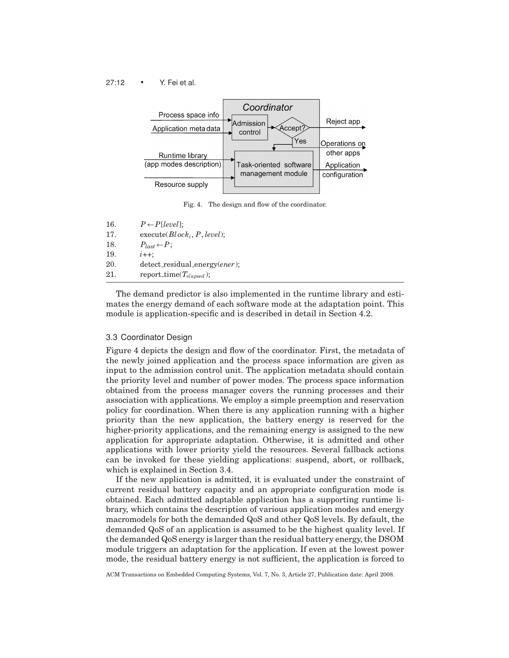# 27:12 • Y. Fei et al.



Fig. 4. The design and flow of the coordinator.

| 16. | $P \leftarrow P[level]$              |
|-----|--------------------------------------|
| 17. | $\text{execute}(Block_i, P, level);$ |
| 18. | $P_{last} \leftarrow P$ ;            |
| 19. | $i++$ :                              |
| 20. | detect_residual_energy(ener);        |
| 21. | report_time( $T_{elased}$ );         |
|     |                                      |

The demand predictor is also implemented in the runtime library and estimates the energy demand of each software mode at the adaptation point. This module is application-specific and is described in detail in Section 4.2.

## 3.3 Coordinator Design

Figure 4 depicts the design and flow of the coordinator. First, the metadata of the newly joined application and the process space information are given as input to the admission control unit. The application metadata should contain the priority level and number of power modes. The process space information obtained from the process manager covers the running processes and their association with applications. We employ a simple preemption and reservation policy for coordination. When there is any application running with a higher priority than the new application, the battery energy is reserved for the higher-priority applications, and the remaining energy is assigned to the new application for appropriate adaptation. Otherwise, it is admitted and other applications with lower priority yield the resources. Several fallback actions can be invoked for these yielding applications: suspend, abort, or rollback, which is explained in Section 3.4.

If the new application is admitted, it is evaluated under the constraint of current residual battery capacity and an appropriate configuration mode is obtained. Each admitted adaptable application has a supporting runtime library, which contains the description of various application modes and energy macromodels for both the demanded QoS and other QoS levels. By default, the demanded QoS of an application is assumed to be the highest quality level. If the demanded QoS energy is larger than the residual battery energy, the DSOM module triggers an adaptation for the application. If even at the lowest power mode, the residual battery energy is not sufficient, the application is forced to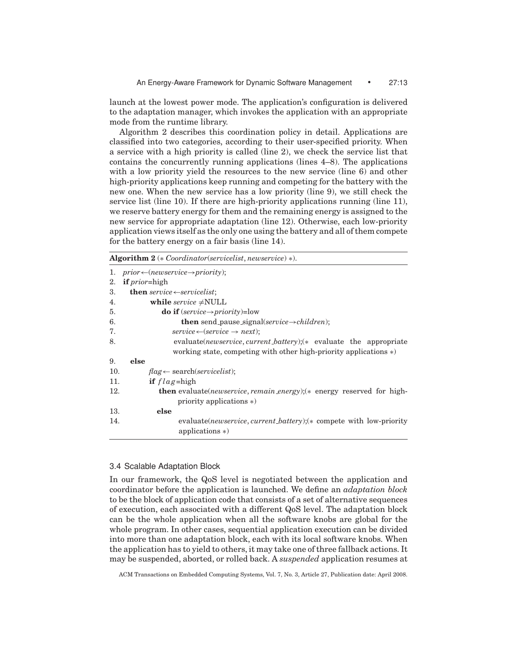launch at the lowest power mode. The application's configuration is delivered to the adaptation manager, which invokes the application with an appropriate mode from the runtime library.

Algorithm 2 describes this coordination policy in detail. Applications are classified into two categories, according to their user-specified priority. When a service with a high priority is called (line 2), we check the service list that contains the concurrently running applications (lines 4–8). The applications with a low priority yield the resources to the new service (line 6) and other high-priority applications keep running and competing for the battery with the new one. When the new service has a low priority (line 9), we still check the service list (line 10). If there are high-priority applications running (line 11), we reserve battery energy for them and the remaining energy is assigned to the new service for appropriate adaptation (line 12). Otherwise, each low-priority application views itself as the only one using the battery and all of them compete for the battery energy on a fair basis (line 14).

**Algorithm 2** (∗ *Coordinator*(*servicelist*, *newservice*) ∗).

| 1.  | $prior \leftarrow (newservice \rightarrow priority);$                                             |  |  |  |  |  |
|-----|---------------------------------------------------------------------------------------------------|--|--|--|--|--|
| 2.  | <b>if</b> prior=high                                                                              |  |  |  |  |  |
| 3.  | <b>then</b> service $\leftarrow$ servicelist;                                                     |  |  |  |  |  |
| 4.  | while service $\neq$ NULL                                                                         |  |  |  |  |  |
| 5.  | <b>do if</b> (service $\rightarrow$ priority)=low                                                 |  |  |  |  |  |
| 6.  | <b>then</b> send pause signal(service $\rightarrow$ children);                                    |  |  |  |  |  |
| 7.  | $service \leftarrow (service \rightarrow next);$                                                  |  |  |  |  |  |
| 8.  | evaluate( <i>newservice, current battery</i> ); $(*$ evaluate the appropriate                     |  |  |  |  |  |
|     | working state, competing with other high-priority applications $\ast$ )                           |  |  |  |  |  |
| 9.  | else                                                                                              |  |  |  |  |  |
| 10. | $flag \leftarrow search(servised);$                                                               |  |  |  |  |  |
| 11. | if $flag = high$                                                                                  |  |  |  |  |  |
| 12. | <b>then</b> evaluate( <i>newservice, remain energy</i> );(* energy reserved for high-             |  |  |  |  |  |
|     | priority applications $*)$                                                                        |  |  |  |  |  |
| 13. | else                                                                                              |  |  |  |  |  |
| 14. | evaluate( <i>newservice, current battery</i> ); (* compete with low-priority<br>applications $*)$ |  |  |  |  |  |

## 3.4 Scalable Adaptation Block

In our framework, the QoS level is negotiated between the application and coordinator before the application is launched. We define an *adaptation block* to be the block of application code that consists of a set of alternative sequences of execution, each associated with a different QoS level. The adaptation block can be the whole application when all the software knobs are global for the whole program. In other cases, sequential application execution can be divided into more than one adaptation block, each with its local software knobs. When the application has to yield to others, it may take one of three fallback actions. It may be suspended, aborted, or rolled back. A *suspended* application resumes at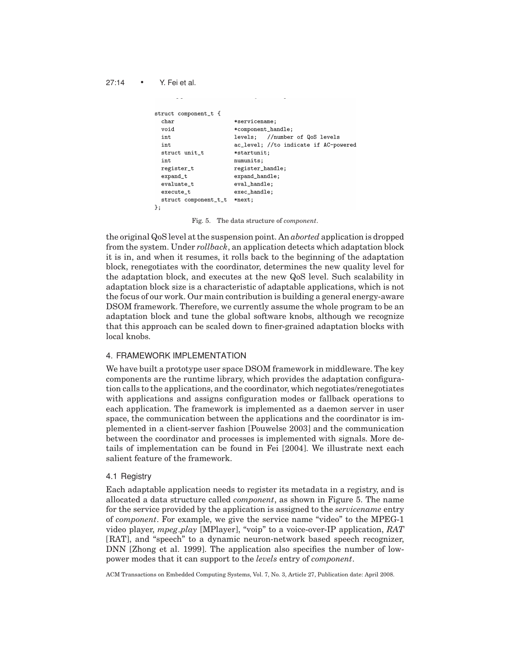27:14 • Y. Fei et al.

 $\sim$ 

```
struct component_t {
  char
                         *servicename:
  void
                         *component_handle;
                         levels; //number of QoS levels
  int
  int
                         ac_level; //to indicate if AC-powered
  struct unit_t
                         *startunit:
                         numunits;
  int
  register_t
                         register_handle;
  \tt{expand_t}expand handle:
  evaluate_teval_handle;
  execute t
                         exec handle:
  struct component_t_t *next;
\cdot
```
Fig. 5. The data structure of *component*.

the original QoS level at the suspension point. An *aborted* application is dropped from the system. Under *rollback*, an application detects which adaptation block it is in, and when it resumes, it rolls back to the beginning of the adaptation block, renegotiates with the coordinator, determines the new quality level for the adaptation block, and executes at the new QoS level. Such scalability in adaptation block size is a characteristic of adaptable applications, which is not the focus of our work. Our main contribution is building a general energy-aware DSOM framework. Therefore, we currently assume the whole program to be an adaptation block and tune the global software knobs, although we recognize that this approach can be scaled down to finer-grained adaptation blocks with local knobs.

## 4. FRAMEWORK IMPLEMENTATION

We have built a prototype user space DSOM framework in middleware. The key components are the runtime library, which provides the adaptation configuration calls to the applications, and the coordinator, which negotiates/renegotiates with applications and assigns configuration modes or fallback operations to each application. The framework is implemented as a daemon server in user space, the communication between the applications and the coordinator is implemented in a client-server fashion [Pouwelse 2003] and the communication between the coordinator and processes is implemented with signals. More details of implementation can be found in Fei [2004]. We illustrate next each salient feature of the framework.

## 4.1 Registry

Each adaptable application needs to register its metadata in a registry, and is allocated a data structure called *component*, as shown in Figure 5. The name for the service provided by the application is assigned to the *servicename* entry of *component*. For example, we give the service name "video" to the MPEG-1 video player, *mpeg play* [MPlayer], "voip" to a voice-over-IP application, *RAT* [RAT], and "speech" to a dynamic neuron-network based speech recognizer, DNN [Zhong et al. 1999]. The application also specifies the number of lowpower modes that it can support to the *levels* entry of *component*.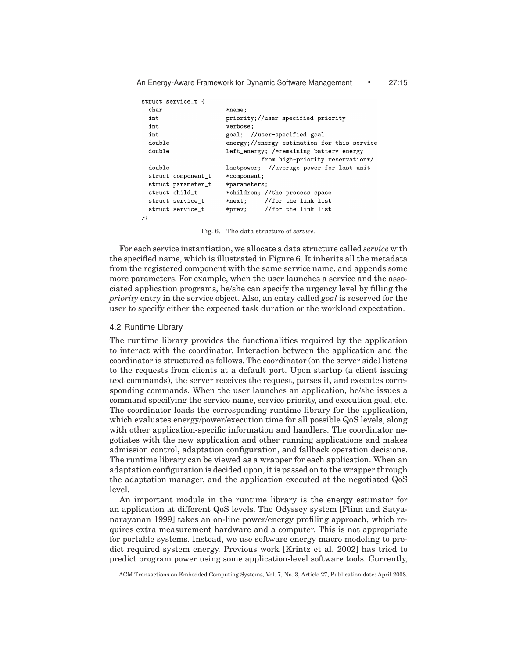```
struct service_t {
  char
                         *<sub>name</sub>:intpriority;//user-specified priority
 int
                         verbose:
                         goal; //user-specified goal
 int
 double
                         energy;//energy estimation for this service
  double
                         left_energy; /*remaining battery energy
                                   from high-priority reservation*/
 double
                         lastpower; //average power for last unit
                         *component;
 struct component_t
 struct parameter_t
                         *parameters;
 struct child_t
                         *children; //the process space
 struct service_t
                         *next;//for the link list
 struct service_t
                                    //for the link list
                         *prev:
\ddagger:
```
Fig. 6. The data structure of *service*.

For each service instantiation, we allocate a data structure called *service* with the specified name, which is illustrated in Figure 6. It inherits all the metadata from the registered component with the same service name, and appends some more parameters. For example, when the user launches a service and the associated application programs, he/she can specify the urgency level by filling the *priority* entry in the service object. Also, an entry called *goal* is reserved for the user to specify either the expected task duration or the workload expectation.

#### 4.2 Runtime Library

The runtime library provides the functionalities required by the application to interact with the coordinator. Interaction between the application and the coordinator is structured as follows. The coordinator (on the server side) listens to the requests from clients at a default port. Upon startup (a client issuing text commands), the server receives the request, parses it, and executes corresponding commands. When the user launches an application, he/she issues a command specifying the service name, service priority, and execution goal, etc. The coordinator loads the corresponding runtime library for the application, which evaluates energy/power/execution time for all possible QoS levels, along with other application-specific information and handlers. The coordinator negotiates with the new application and other running applications and makes admission control, adaptation configuration, and fallback operation decisions. The runtime library can be viewed as a wrapper for each application. When an adaptation configuration is decided upon, it is passed on to the wrapper through the adaptation manager, and the application executed at the negotiated QoS level.

An important module in the runtime library is the energy estimator for an application at different QoS levels. The Odyssey system [Flinn and Satyanarayanan 1999] takes an on-line power/energy profiling approach, which requires extra measurement hardware and a computer. This is not appropriate for portable systems. Instead, we use software energy macro modeling to predict required system energy. Previous work [Krintz et al. 2002] has tried to predict program power using some application-level software tools. Currently,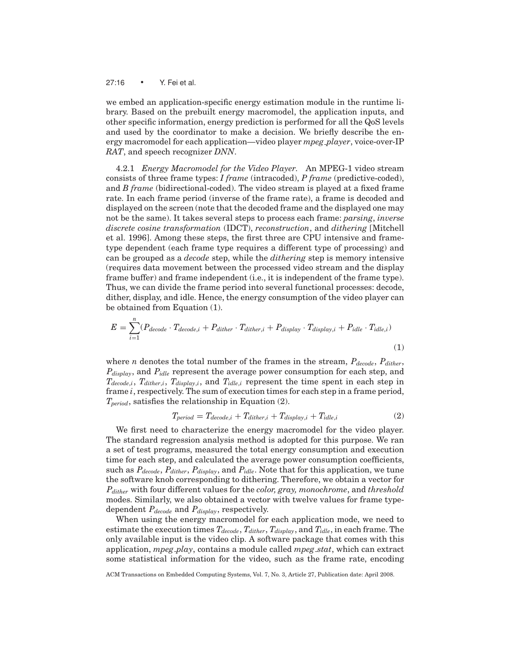#### 27:16 • Y. Fei et al.

we embed an application-specific energy estimation module in the runtime library. Based on the prebuilt energy macromodel, the application inputs, and other specific information, energy prediction is performed for all the QoS levels and used by the coordinator to make a decision. We briefly describe the energy macromodel for each application—video player *mpeg player*, voice-over-IP *RAT*, and speech recognizer *DNN*.

4.2.1 *Energy Macromodel for the Video Player.* An MPEG-1 video stream consists of three frame types: *I frame* (intracoded), *P frame* (predictive-coded), and *B frame* (bidirectional-coded). The video stream is played at a fixed frame rate. In each frame period (inverse of the frame rate), a frame is decoded and displayed on the screen (note that the decoded frame and the displayed one may not be the same). It takes several steps to process each frame: *parsing*, *inverse discrete cosine transformation* (IDCT), *reconstruction*, and *dithering* [Mitchell et al. 1996]. Among these steps, the first three are CPU intensive and frametype dependent (each frame type requires a different type of processing) and can be grouped as a *decode* step, while the *dithering* step is memory intensive (requires data movement between the processed video stream and the display frame buffer) and frame independent (i.e., it is independent of the frame type). Thus, we can divide the frame period into several functional processes: decode, dither, display, and idle. Hence, the energy consumption of the video player can be obtained from Equation (1).

$$
E = \sum_{i=1}^{n} (P_{decode} \cdot T_{decode,i} + P_{dither} \cdot T_{dither,i} + P_{display} \cdot T_{display,i} + P_{idle} \cdot T_{idle,i})
$$
\n(1)

where *n* denotes the total number of the frames in the stream, *Pdecode*, *Pdither*, *Pdisplay*, and *Pidle* represent the average power consumption for each step, and *Tdecode*,*i*, *Tdither*,*i*, *Tdisplay*,*i*, and *Tidle*,*<sup>i</sup>* represent the time spent in each step in frame *i*, respectively. The sum of execution times for each step in a frame period, *Tperiod*, satisfies the relationship in Equation (2).

$$
T_{period} = T_{decode,i} + T_{dither,i} + T_{display,i} + T_{idle,i}
$$
\n(2)

We first need to characterize the energy macromodel for the video player. The standard regression analysis method is adopted for this purpose. We ran a set of test programs, measured the total energy consumption and execution time for each step, and calculated the average power consumption coefficients, such as *Pdecode*, *Pdither*, *Pdisplay*, and *Pidle*. Note that for this application, we tune the software knob corresponding to dithering. Therefore, we obtain a vector for *Pdither* with four different values for the *color, gray, monochrome*, and *threshold* modes. Similarly, we also obtained a vector with twelve values for frame typedependent *Pdecode* and *Pdisplay*, respectively.

When using the energy macromodel for each application mode, we need to estimate the execution times  $T_{decode}$ ,  $T_{dither}$ ,  $T_{display}$ , and  $T_{idle}$ , in each frame. The only available input is the video clip. A software package that comes with this application, *mpeg play*, contains a module called *mpeg stat*, which can extract some statistical information for the video, such as the frame rate, encoding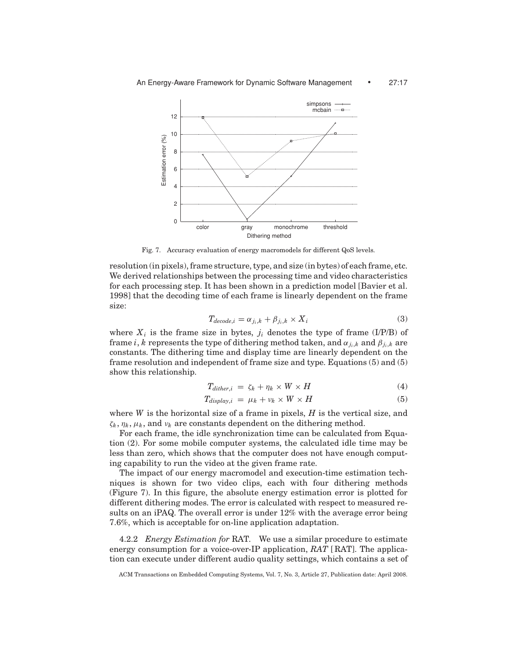

Fig. 7. Accuracy evaluation of energy macromodels for different QoS levels.

resolution (in pixels), frame structure, type, and size (in bytes) of each frame, etc. We derived relationships between the processing time and video characteristics for each processing step. It has been shown in a prediction model [Bavier et al. 1998] that the decoding time of each frame is linearly dependent on the frame size:

$$
T_{decode,i} = \alpha_{j_i,k} + \beta_{j_i,k} \times X_i
$$
\n(3)

where  $X_i$  is the frame size in bytes,  $j_i$  denotes the type of frame (I/P/B) of frame *i*, *k* represents the type of dithering method taken, and  $\alpha_{j_i,k}$  and  $\beta_{j_i,k}$  are constants. The dithering time and display time are linearly dependent on the frame resolution and independent of frame size and type. Equations (5) and (5) show this relationship.

$$
T_{dither,i} = \zeta_k + \eta_k \times W \times H \tag{4}
$$

$$
T_{display,i} = \mu_k + \nu_k \times W \times H \tag{5}
$$

where *W* is the horizontal size of a frame in pixels, *H* is the vertical size, and  $\zeta_k$ ,  $\eta_k$ ,  $\mu_k$ , and  $\nu_k$  are constants dependent on the dithering method.

For each frame, the idle synchronization time can be calculated from Equation (2). For some mobile computer systems, the calculated idle time may be less than zero, which shows that the computer does not have enough computing capability to run the video at the given frame rate.

The impact of our energy macromodel and execution-time estimation techniques is shown for two video clips, each with four dithering methods (Figure 7). In this figure, the absolute energy estimation error is plotted for different dithering modes. The error is calculated with respect to measured results on an iPAQ. The overall error is under 12% with the average error being 7.6%, which is acceptable for on-line application adaptation.

4.2.2 *Energy Estimation for* RAT*.* We use a similar procedure to estimate energy consumption for a voice-over-IP application, *RAT* [RAT]. The application can execute under different audio quality settings, which contains a set of

ACM Transactions on Embedded Computing Systems, Vol. 7, No. 3, Article 27, Publication date: April 2008.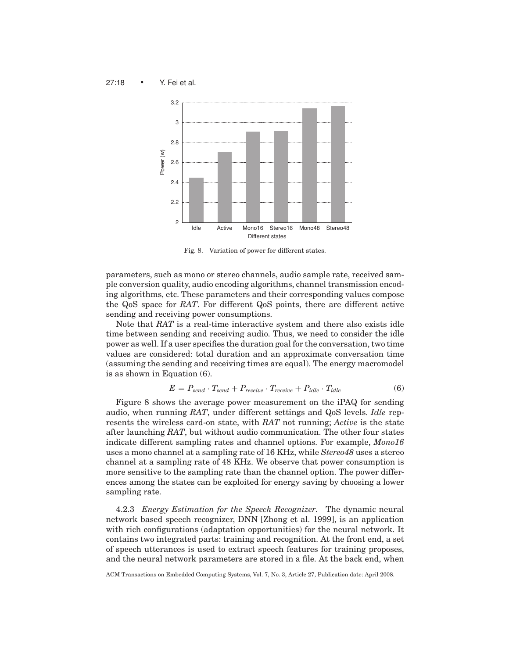27:18 • Y. Fei et al.



Fig. 8. Variation of power for different states.

parameters, such as mono or stereo channels, audio sample rate, received sample conversion quality, audio encoding algorithms, channel transmission encoding algorithms, etc. These parameters and their corresponding values compose the QoS space for *RAT*. For different QoS points, there are different active sending and receiving power consumptions.

Note that *RAT* is a real-time interactive system and there also exists idle time between sending and receiving audio. Thus, we need to consider the idle power as well. If a user specifies the duration goal for the conversation, two time values are considered: total duration and an approximate conversation time (assuming the sending and receiving times are equal). The energy macromodel is as shown in Equation (6).

$$
E = P_{send} \cdot T_{send} + P_{receive} \cdot T_{receive} + P_{idle} \cdot T_{idle}
$$
 (6)

Figure 8 shows the average power measurement on the iPAQ for sending audio, when running *RAT*, under different settings and QoS levels. *Idle* represents the wireless card-on state, with *RAT* not running; *Active* is the state after launching *RAT*, but without audio communication. The other four states indicate different sampling rates and channel options. For example, *Mono16* uses a mono channel at a sampling rate of 16 KHz, while *Stereo48* uses a stereo channel at a sampling rate of 48 KHz. We observe that power consumption is more sensitive to the sampling rate than the channel option. The power differences among the states can be exploited for energy saving by choosing a lower sampling rate.

4.2.3 *Energy Estimation for the Speech Recognizer.* The dynamic neural network based speech recognizer, DNN [Zhong et al. 1999], is an application with rich configurations (adaptation opportunities) for the neural network. It contains two integrated parts: training and recognition. At the front end, a set of speech utterances is used to extract speech features for training proposes, and the neural network parameters are stored in a file. At the back end, when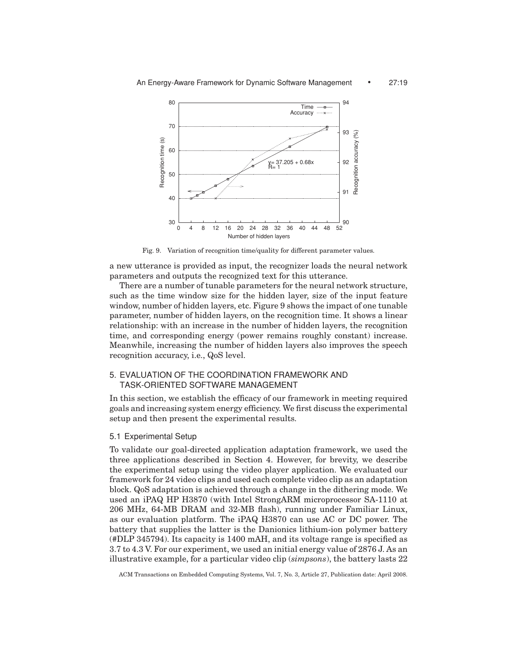

Fig. 9. Variation of recognition time/quality for different parameter values.

a new utterance is provided as input, the recognizer loads the neural network parameters and outputs the recognized text for this utterance.

There are a number of tunable parameters for the neural network structure, such as the time window size for the hidden layer, size of the input feature window, number of hidden layers, etc. Figure 9 shows the impact of one tunable parameter, number of hidden layers, on the recognition time. It shows a linear relationship: with an increase in the number of hidden layers, the recognition time, and corresponding energy (power remains roughly constant) increase. Meanwhile, increasing the number of hidden layers also improves the speech recognition accuracy, i.e., QoS level.

# 5. EVALUATION OF THE COORDINATION FRAMEWORK AND TASK-ORIENTED SOFTWARE MANAGEMENT

In this section, we establish the efficacy of our framework in meeting required goals and increasing system energy efficiency. We first discuss the experimental setup and then present the experimental results.

## 5.1 Experimental Setup

To validate our goal-directed application adaptation framework, we used the three applications described in Section 4. However, for brevity, we describe the experimental setup using the video player application. We evaluated our framework for 24 video clips and used each complete video clip as an adaptation block. QoS adaptation is achieved through a change in the dithering mode. We used an iPAQ HP H3870 (with Intel StrongARM microprocessor SA-1110 at 206 MHz, 64-MB DRAM and 32-MB flash), running under Familiar Linux, as our evaluation platform. The iPAQ H3870 can use AC or DC power. The battery that supplies the latter is the Danionics lithium-ion polymer battery (#DLP 345794). Its capacity is 1400 mAH, and its voltage range is specified as 3.7 to 4.3 V. For our experiment, we used an initial energy value of 2876 J. As an illustrative example, for a particular video clip (*simpsons*), the battery lasts 22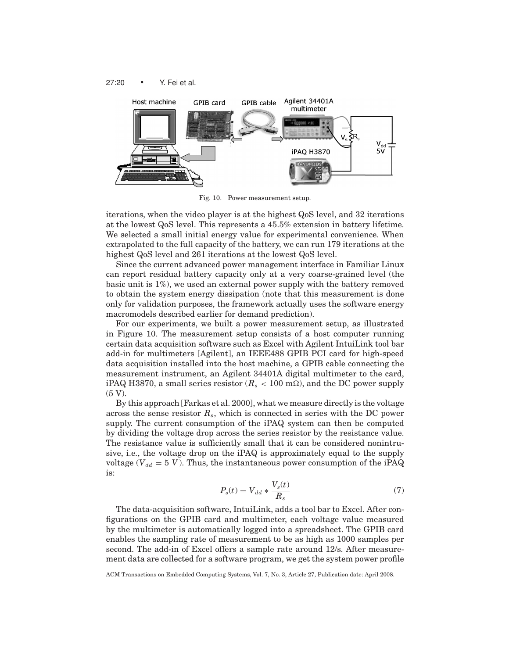27:20 • Y. Fei et al.



Fig. 10. Power measurement setup.

iterations, when the video player is at the highest QoS level, and 32 iterations at the lowest QoS level. This represents a 45.5% extension in battery lifetime. We selected a small initial energy value for experimental convenience. When extrapolated to the full capacity of the battery, we can run 179 iterations at the highest QoS level and 261 iterations at the lowest QoS level.

Since the current advanced power management interface in Familiar Linux can report residual battery capacity only at a very coarse-grained level (the basic unit is 1%), we used an external power supply with the battery removed to obtain the system energy dissipation (note that this measurement is done only for validation purposes, the framework actually uses the software energy macromodels described earlier for demand prediction).

For our experiments, we built a power measurement setup, as illustrated in Figure 10. The measurement setup consists of a host computer running certain data acquisition software such as Excel with Agilent IntuiLink tool bar add-in for multimeters [Agilent], an IEEE488 GPIB PCI card for high-speed data acquisition installed into the host machine, a GPIB cable connecting the measurement instrument, an Agilent 34401A digital multimeter to the card, iPAQ H3870, a small series resistor  $(R_s < 100 \text{ m}\Omega)$ , and the DC power supply (5 V).

By this approach [Farkas et al. 2000], what we measure directly is the voltage across the sense resistor *Rs*, which is connected in series with the DC power supply. The current consumption of the iPAQ system can then be computed by dividing the voltage drop across the series resistor by the resistance value. The resistance value is sufficiently small that it can be considered nonintrusive, i.e., the voltage drop on the iPAQ is approximately equal to the supply voltage ( $V_{dd} = 5$  V). Thus, the instantaneous power consumption of the iPAQ is:

$$
P_s(t) = V_{dd} * \frac{V_s(t)}{R_s} \tag{7}
$$

The data-acquisition software, IntuiLink, adds a tool bar to Excel. After configurations on the GPIB card and multimeter, each voltage value measured by the multimeter is automatically logged into a spreadsheet. The GPIB card enables the sampling rate of measurement to be as high as 1000 samples per second. The add-in of Excel offers a sample rate around 12/s. After measurement data are collected for a software program, we get the system power profile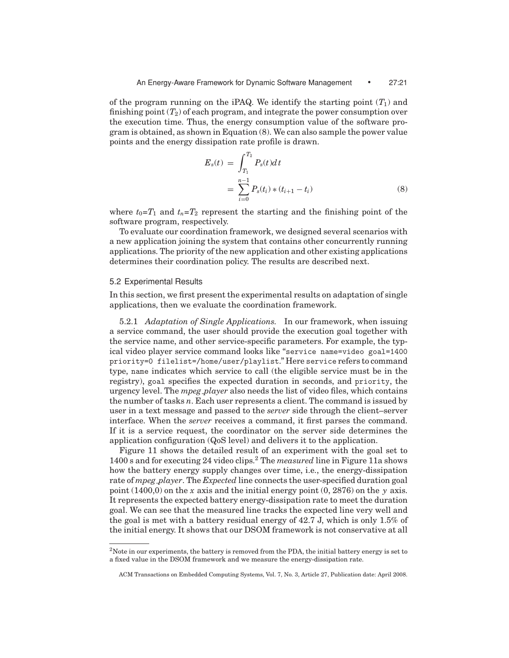of the program running on the iPAQ. We identify the starting point  $(T_1)$  and finishing point  $(T_2)$  of each program, and integrate the power consumption over the execution time. Thus, the energy consumption value of the software program is obtained, as shown in Equation (8). We can also sample the power value points and the energy dissipation rate profile is drawn.

$$
E_s(t) = \int_{T_1}^{T_2} P_s(t)dt
$$
  
= 
$$
\sum_{i=0}^{n-1} P_s(t_i) * (t_{i+1} - t_i)
$$
 (8)

where  $t_0 = T_1$  and  $t_n = T_2$  represent the starting and the finishing point of the software program, respectively.

To evaluate our coordination framework, we designed several scenarios with a new application joining the system that contains other concurrently running applications. The priority of the new application and other existing applications determines their coordination policy. The results are described next.

## 5.2 Experimental Results

In this section, we first present the experimental results on adaptation of single applications, then we evaluate the coordination framework.

5.2.1 *Adaptation of Single Applications.* In our framework, when issuing a service command, the user should provide the execution goal together with the service name, and other service-specific parameters. For example, the typical video player service command looks like "service name=video goal=1400 priority=0 filelist=/home/user/playlist." Here service refers to command type, name indicates which service to call (the eligible service must be in the registry), goal specifies the expected duration in seconds, and priority, the urgency level. The *mpeg player* also needs the list of video files, which contains the number of tasks *n*. Each user represents a client. The command is issued by user in a text message and passed to the *server* side through the client–server interface. When the *server* receives a command, it first parses the command. If it is a service request, the coordinator on the server side determines the application configuration (QoS level) and delivers it to the application.

Figure 11 shows the detailed result of an experiment with the goal set to 1400 s and for executing 24 video clips.<sup>2</sup> The *measured* line in Figure 11a shows how the battery energy supply changes over time, i.e., the energy-dissipation rate of *mpeg player*. The *Expected* line connects the user-specified duration goal point (1400,0) on the *x* axis and the initial energy point (0, 2876) on the *y* axis. It represents the expected battery energy-dissipation rate to meet the duration goal. We can see that the measured line tracks the expected line very well and the goal is met with a battery residual energy of 42.7 J, which is only 1.5% of the initial energy. It shows that our DSOM framework is not conservative at all

<sup>&</sup>lt;sup>2</sup>Note in our experiments, the battery is removed from the PDA, the initial battery energy is set to a fixed value in the DSOM framework and we measure the energy-dissipation rate.

ACM Transactions on Embedded Computing Systems, Vol. 7, No. 3, Article 27, Publication date: April 2008.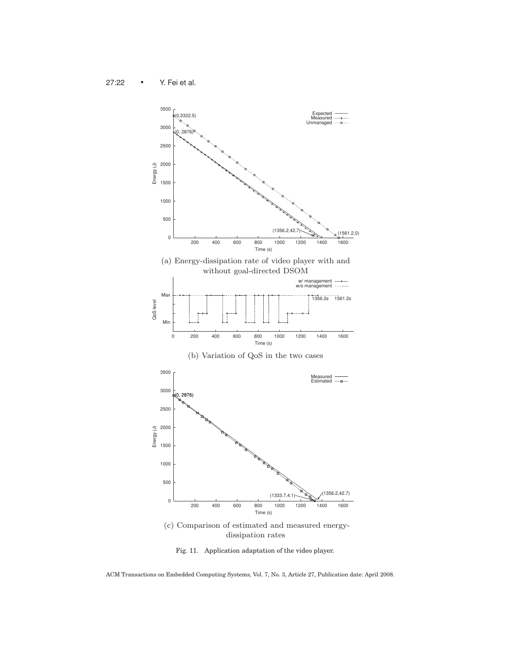27:22 • Y. Fei et al.



Fig. 11. Application adaptation of the video player.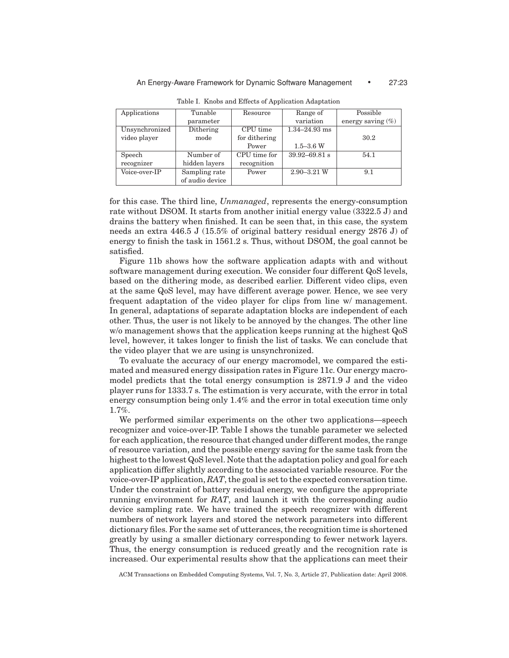| Applications   | Tunable         | Resource      | Range of          | Possible             |
|----------------|-----------------|---------------|-------------------|----------------------|
|                | parameter       |               | variation         | energy saving $(\%)$ |
| Unsynchronized | Dithering       | CPU time      | $1.34 - 24.93$ ms |                      |
| video player   | mode            | for dithering |                   | 30.2                 |
|                |                 | Power         | $1.5 - 3.6$ W     |                      |
| Speech         | Number of       | CPU time for  | $39.92 - 69.81$ s | 54.1                 |
| recognizer     | hidden layers   | recognition   |                   |                      |
| Voice-over-IP  | Sampling rate   | Power         | $2.90 - 3.21$ W   | 9.1                  |
|                | of audio device |               |                   |                      |

Table I. Knobs and Effects of Application Adaptation

for this case. The third line, *Unmanaged*, represents the energy-consumption rate without DSOM. It starts from another initial energy value (3322.5 J) and drains the battery when finished. It can be seen that, in this case, the system needs an extra 446.5 J (15.5% of original battery residual energy 2876 J) of energy to finish the task in 1561.2 s. Thus, without DSOM, the goal cannot be satisfied.

Figure 11b shows how the software application adapts with and without software management during execution. We consider four different QoS levels, based on the dithering mode, as described earlier. Different video clips, even at the same QoS level, may have different average power. Hence, we see very frequent adaptation of the video player for clips from line w/ management. In general, adaptations of separate adaptation blocks are independent of each other. Thus, the user is not likely to be annoyed by the changes. The other line w/o management shows that the application keeps running at the highest QoS level, however, it takes longer to finish the list of tasks. We can conclude that the video player that we are using is unsynchronized.

To evaluate the accuracy of our energy macromodel, we compared the estimated and measured energy dissipation rates in Figure 11c. Our energy macromodel predicts that the total energy consumption is 2871.9 J and the video player runs for 1333.7 s. The estimation is very accurate, with the error in total energy consumption being only 1.4% and the error in total execution time only 1.7%.

We performed similar experiments on the other two applications—speech recognizer and voice-over-IP. Table I shows the tunable parameter we selected for each application, the resource that changed under different modes, the range of resource variation, and the possible energy saving for the same task from the highest to the lowest QoS level. Note that the adaptation policy and goal for each application differ slightly according to the associated variable resource. For the voice-over-IP application, *RAT*, the goal is set to the expected conversation time. Under the constraint of battery residual energy, we configure the appropriate running environment for *RAT*, and launch it with the corresponding audio device sampling rate. We have trained the speech recognizer with different numbers of network layers and stored the network parameters into different dictionary files. For the same set of utterances, the recognition time is shortened greatly by using a smaller dictionary corresponding to fewer network layers. Thus, the energy consumption is reduced greatly and the recognition rate is increased. Our experimental results show that the applications can meet their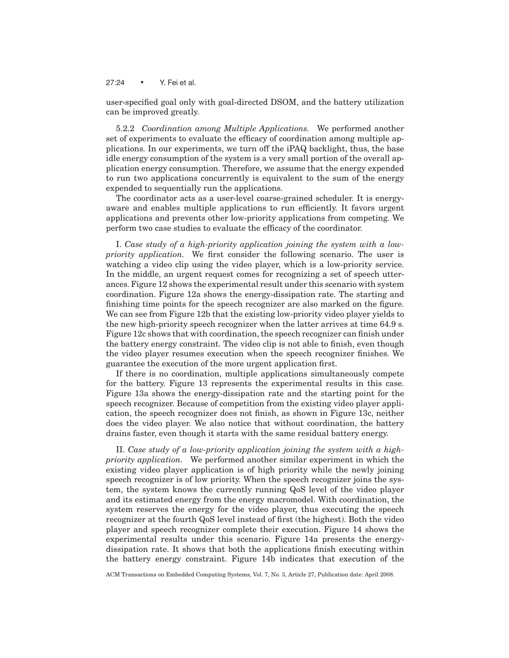#### 27:24 • Y. Fei et al.

user-specified goal only with goal-directed DSOM, and the battery utilization can be improved greatly.

5.2.2 *Coordination among Multiple Applications.* We performed another set of experiments to evaluate the efficacy of coordination among multiple applications. In our experiments, we turn off the iPAQ backlight, thus, the base idle energy consumption of the system is a very small portion of the overall application energy consumption. Therefore, we assume that the energy expended to run two applications concurrently is equivalent to the sum of the energy expended to sequentially run the applications.

The coordinator acts as a user-level coarse-grained scheduler. It is energyaware and enables multiple applications to run efficiently. It favors urgent applications and prevents other low-priority applications from competing. We perform two case studies to evaluate the efficacy of the coordinator.

I. *Case study of a high-priority application joining the system with a lowpriority application.* We first consider the following scenario. The user is watching a video clip using the video player, which is a low-priority service. In the middle, an urgent request comes for recognizing a set of speech utterances. Figure 12 shows the experimental result under this scenario with system coordination. Figure 12a shows the energy-dissipation rate. The starting and finishing time points for the speech recognizer are also marked on the figure. We can see from Figure 12b that the existing low-priority video player yields to the new high-priority speech recognizer when the latter arrives at time 64.9 s. Figure 12c shows that with coordination, the speech recognizer can finish under the battery energy constraint. The video clip is not able to finish, even though the video player resumes execution when the speech recognizer finishes. We guarantee the execution of the more urgent application first.

If there is no coordination, multiple applications simultaneously compete for the battery. Figure 13 represents the experimental results in this case. Figure 13a shows the energy-dissipation rate and the starting point for the speech recognizer. Because of competition from the existing video player application, the speech recognizer does not finish, as shown in Figure 13c, neither does the video player. We also notice that without coordination, the battery drains faster, even though it starts with the same residual battery energy.

II. *Case study of a low-priority application joining the system with a highpriority application.* We performed another similar experiment in which the existing video player application is of high priority while the newly joining speech recognizer is of low priority. When the speech recognizer joins the system, the system knows the currently running QoS level of the video player and its estimated energy from the energy macromodel. With coordination, the system reserves the energy for the video player, thus executing the speech recognizer at the fourth QoS level instead of first (the highest). Both the video player and speech recognizer complete their execution. Figure 14 shows the experimental results under this scenario. Figure 14a presents the energydissipation rate. It shows that both the applications finish executing within the battery energy constraint. Figure 14b indicates that execution of the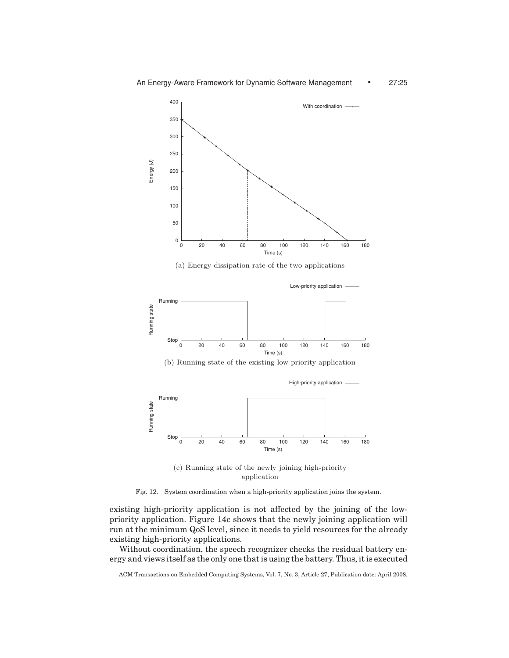

application

Fig. 12. System coordination when a high-priority application joins the system.

existing high-priority application is not affected by the joining of the lowpriority application. Figure 14c shows that the newly joining application will run at the minimum QoS level, since it needs to yield resources for the already existing high-priority applications.

Without coordination, the speech recognizer checks the residual battery energy and views itself as the only one that is using the battery. Thus, it is executed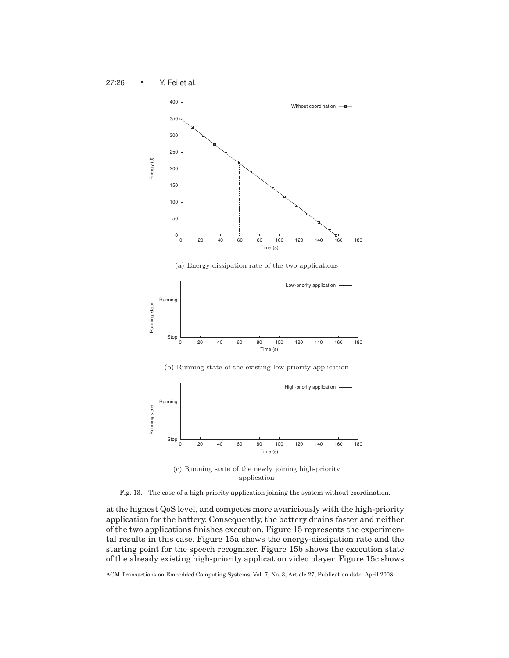27:26 • Y. Fei et al.



(a) Energy-dissipation rate of the two applications



(b) Running state of the existing low-priority application



(c) Running state of the newly joining high-priority application

Fig. 13. The case of a high-priority application joining the system without coordination.

at the highest QoS level, and competes more avariciously with the high-priority application for the battery. Consequently, the battery drains faster and neither of the two applications finishes execution. Figure 15 represents the experimental results in this case. Figure 15a shows the energy-dissipation rate and the starting point for the speech recognizer. Figure 15b shows the execution state of the already existing high-priority application video player. Figure 15c shows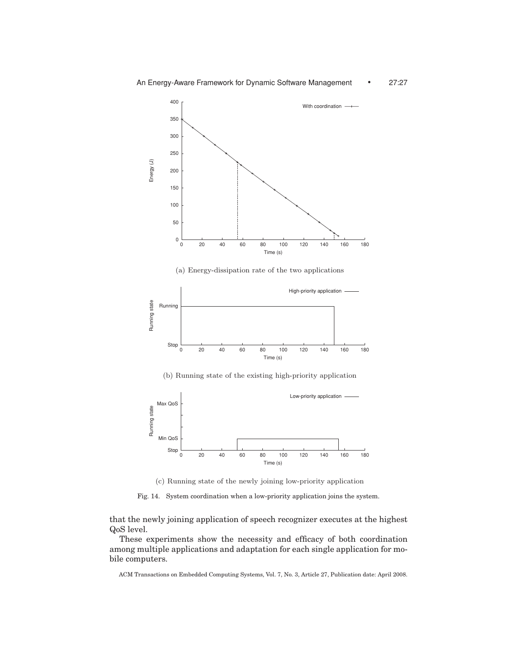

(a) Energy-dissipation rate of the two applications



(b) Running state of the existing high-priority application



(c) Running state of the newly joining low-priority application

Fig. 14. System coordination when a low-priority application joins the system.

that the newly joining application of speech recognizer executes at the highest QoS level.

These experiments show the necessity and efficacy of both coordination among multiple applications and adaptation for each single application for mobile computers.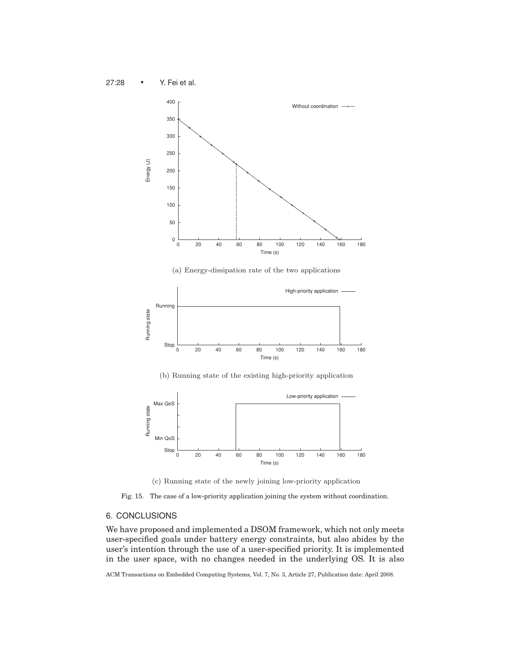27:28 • Y. Fei et al.



(a) Energy-dissipation rate of the two applications



(b) Running state of the existing high-priority application



(c) Running state of the newly joining low-priority application

Fig. 15. The case of a low-priority application joining the system without coordination.

# 6. CONCLUSIONS

We have proposed and implemented a DSOM framework, which not only meets user-specified goals under battery energy constraints, but also abides by the user's intention through the use of a user-specified priority. It is implemented in the user space, with no changes needed in the underlying OS. It is also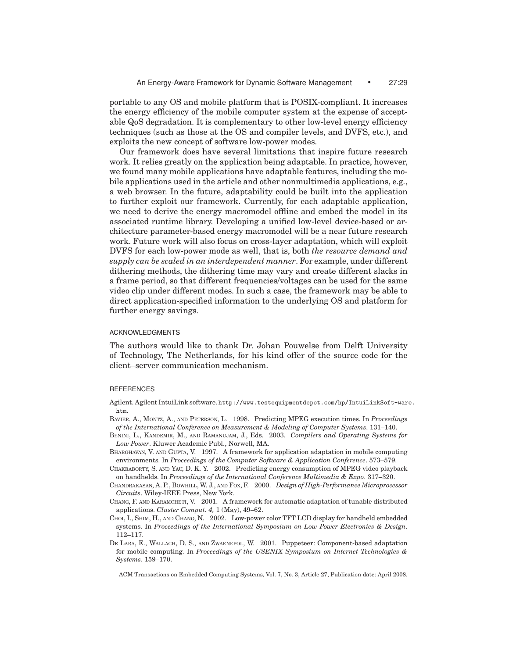portable to any OS and mobile platform that is POSIX-compliant. It increases the energy efficiency of the mobile computer system at the expense of acceptable QoS degradation. It is complementary to other low-level energy efficiency techniques (such as those at the OS and compiler levels, and DVFS, etc.), and exploits the new concept of software low-power modes.

Our framework does have several limitations that inspire future research work. It relies greatly on the application being adaptable. In practice, however, we found many mobile applications have adaptable features, including the mobile applications used in the article and other nonmultimedia applications, e.g., a web browser. In the future, adaptability could be built into the application to further exploit our framework. Currently, for each adaptable application, we need to derive the energy macromodel offline and embed the model in its associated runtime library. Developing a unified low-level device-based or architecture parameter-based energy macromodel will be a near future research work. Future work will also focus on cross-layer adaptation, which will exploit DVFS for each low-power mode as well, that is, both *the resource demand and supply can be scaled in an interdependent manner*. For example, under different dithering methods, the dithering time may vary and create different slacks in a frame period, so that different frequencies/voltages can be used for the same video clip under different modes. In such a case, the framework may be able to direct application-specified information to the underlying OS and platform for further energy savings.

## ACKNOWLEDGMENTS

The authors would like to thank Dr. Johan Pouwelse from Delft University of Technology, The Netherlands, for his kind offer of the source code for the client–server communication mechanism.

#### **REFERENCES**

Agilent. Agilent IntuiLink software. http://www.testequipmentdepot.com/hp/IntuiLinkSoft-ware. htm.

- BAVIER, A., MONTZ, A., AND PETERSON, L. 1998. Predicting MPEG execution times. In *Proceedings of the International Conference on Measurement & Modeling of Computer Systems*. 131–140.
- BENINI, L., KANDEMIR, M., AND RAMANUJAM, J., Eds. 2003. *Compilers and Operating Systems for Low Power*. Kluwer Academic Publ., Norwell, MA.
- BHARGHAVAN, V. AND GUPTA, V. 1997. A framework for application adaptation in mobile computing environments. In *Proceedings of the Computer Software & Application Conference*. 573–579.
- CHAKRABORTY, S. AND YAU, D. K. Y. 2002. Predicting energy consumption of MPEG video playback on handhelds. In *Proceedings of the International Conference Multimedia & Expo*. 317–320.
- CHANDRAKASAN, A. P., BOWHILL, W. J., AND FOX, F. 2000. *Design of High-Performance Microprocessor Circuits*. Wiley-IEEE Press, New York.
- CHANG, F. AND KARAMCHETI, V. 2001. A framework for automatic adaptation of tunable distributed applications. *Cluster Comput. 4,* 1 (May), 49–62.
- CHOI, I., SHIM, H., AND CHANG, N. 2002. Low-power color TFT LCD display for handheld embedded systems. In *Proceedings of the International Symposium on Low Power Electronics & Design*. 112–117.
- DE LARA, E., WALLACH, D. S., AND ZWAENEPOL, W. 2001. Puppeteer: Component-based adaptation for mobile computing. In *Proceedings of the USENIX Symposium on Internet Technologies & Systems*. 159–170.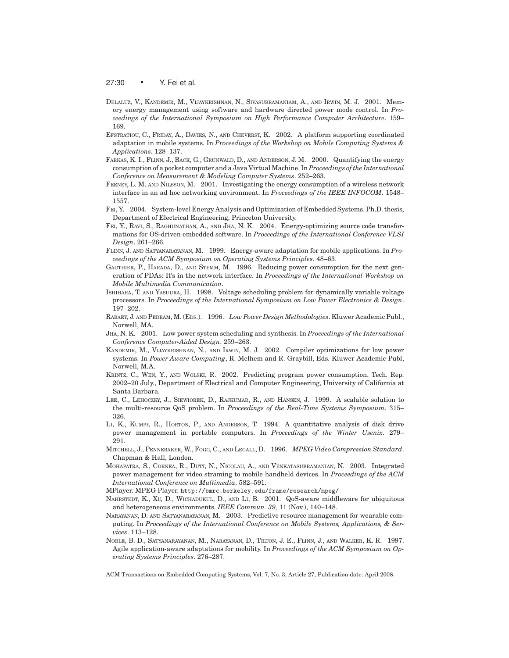#### 27:30 • Y. Fei et al.

- DELALUZ, V., KANDEMIR, M., VIJAYKRISHNAN, N., SIVASUBRAMANIAM, A., AND IRWIN, M. J. 2001. Memory energy management using software and hardware directed power mode control. In *Proceedings of the International Symposium on High Performance Computer Architecture*. 159– 169.
- EFSTRATIOU, C., FRIDAY, A., DAVIES, N., AND CHEVERST, K. 2002. A platform supporting coordinated adaptation in mobile systems. In *Proceedings of the Workshop on Mobile Computing Systems & Applications*. 128–137.
- FARKAS, K. I., FLINN, J., BACK, G., GRUNWALD, D., AND ANDERSON, J. M. 2000. Quantifying the energy consumption of a pocket computer and a Java Virtual Machine. In *Proceedings of the International Conference on Measurement & Modeling Computer Systems*. 252–263.
- FEENEY, L. M. AND NILSSON, M. 2001. Investigating the energy consumption of a wireless network interface in an ad hoc networking environment. In *Proceedings of the IEEE INFOCOM*. 1548– 1557.
- FEI, Y. 2004. System-level Energy Analysis and Optimization of Embedded Systems. Ph.D. thesis, Department of Electrical Engineering, Princeton University.
- FEI, Y., RAVI, S., RAGHUNATHAN, A., AND JHA, N. K. 2004. Energy-optimizing source code transformations for OS-driven embedded software. In *Proceedings of the International Conference VLSI Design*. 261–266.
- FLINN, J. AND SATYANARAYANAN, M. 1999. Energy-aware adaptation for mobile applications. In *Proceedings of the ACM Symposium on Operating Systems Principles*. 48–63.
- GAUTHIER, P., HARADA, D., AND STEMM, M. 1996. Reducing power consumption for the next generation of PDAs: It's in the network interface. In *Proceedings of the International Workshop on Mobile Multimedia Communication*.
- ISHIHARA, T. AND YASUURA, H. 1998. Voltage scheduling problem for dynamically variable voltage processors. In *Proceedings of the International Symposium on Low Power Electronics & Design*. 197–202.
- RABAEY, J. AND PEDRAM, M. (EDS.). 1996. *Low Power Design Methodologies*. Kluwer Academic Publ., Norwell, MA.
- JHA, N. K. 2001. Low power system scheduling and synthesis. In *Proceedings of the International Conference Computer-Aided Design*. 259–263.
- KANDEMIR, M., VIJAYKRISHNAN, N., AND IRWIN, M. J. 2002. Compiler optimizations for low power systems. In *Power-Aware Computing*, R. Melhem and R. Graybill, Eds. Kluwer Academic Publ, Norwell, M.A.
- KRINTZ, C., WEN, Y., AND WOLSKI, R. 2002. Predicting program power consumption. Tech. Rep. 2002–20 July., Department of Electrical and Computer Engineering, University of California at Santa Barbara.
- LEE, C., LEHOCZKY, J., SIEWIOREK, D., RAJKUMAR, R., AND HANSEN, J. 1999. A scalable solution to the multi-resource QoS problem. In *Proceedings of the Real-Time Systems Symposium*. 315– 326.
- LI, K., KUMPF, R., HORTON, P., AND ANDERSON, T. 1994. A quantitative analysis of disk drive power management in portable computers. In *Proceedings of the Winter Usenix*. 279– 291.
- MITCHELL, J., PENNEBAKER, W., FOGG, C., AND LEGALL, D. 1996. *MPEG Video Compression Standard*. Chapman & Hall, London.
- MOHAPATRA, S., CORNEA, R., DUTT, N., NICOLAU, A., AND VENKATASUBRAMANIAN, N. 2003. Integrated power management for video straming to mobile handheld devices. In *Proceedings of the ACM International Conference on Multimedia*. 582–591.
- MPlayer. MPEG Player. http://bmrc.berkeley.edu/frame/research/mpeg/.
- NAHRSTEDT, K., XU, D., WICHADUKUL, D., AND LI, B. 2001. QoS-aware middleware for ubiquitous and heterogeneous environments. *IEEE Commun. 39,* 11 (Nov.), 140–148.
- NARAYANAN, D. AND SATYANARAYANAN, M. 2003. Predictive resource management for wearable computing. In *Proceedings of the International Conference on Mobile Systems, Applications, & Services*. 113–128.
- NOBLE, B. D., SATYANARAYANAN, M., NARAYANAN, D., TILTON, J. E., FLINN, J., AND WALKER, K. R. 1997. Agile application-aware adaptations for mobility. In *Proceedings of the ACM Symposium on Operating Systems Principles*. 276–287.